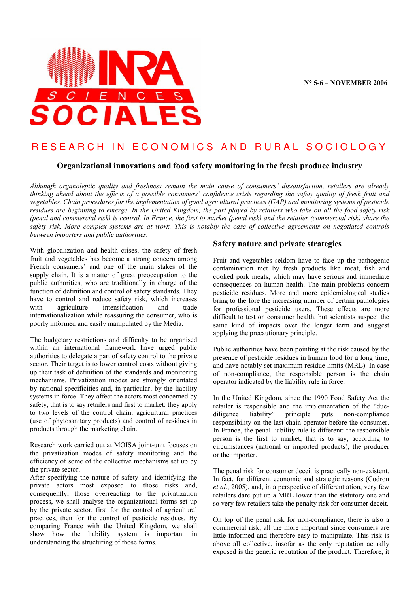

# RESEARCH IN ECONOMICS AND RURAL SOCIOLOGY

## Organizational innovations and food safety monitoring in the fresh produce industry

Although organoleptic quality and freshness remain the main cause of consumers' dissatisfaction, retailers are already thinking ahead about the effects of a possible consumers' confidence crisis regarding the safety quality of fresh fruit and vegetables. Chain procedures for the implementation of good agricultural practices (GAP) and monitoring systems of pesticide residues are beginning to emerge. In the United Kingdom, the part played by retailers who take on all the food safety risk (penal and commercial risk) is central. In France, the first to market (penal risk) and the retailer (commercial risk) share the safety risk. More complex systems are at work. This is notably the case of collective agreements on negotiated controls between importers and public authorities.

With globalization and health crises, the safety of fresh fruit and vegetables has become a strong concern among French consumers' and one of the main stakes of the supply chain. It is a matter of great preoccupation to the public authorities, who are traditionally in charge of the function of definition and control of safety standards. They have to control and reduce safety risk, which increases<br>with agriculture intensification and trade agriculture intensification and trade internationalization while reassuring the consumer, who is poorly informed and easily manipulated by the Media.

The budgetary restrictions and difficulty to be organised within an international framework have urged public authorities to delegate a part of safety control to the private sector. Their target is to lower control costs without giving up their task of definition of the standards and monitoring mechanisms. Privatization modes are strongly orientated by national specificities and, in particular, by the liability systems in force. They affect the actors most concerned by safety, that is to say retailers and first to market: they apply to two levels of the control chain: agricultural practices (use of phytosanitary products) and control of residues in products through the marketing chain.

Research work carried out at MOISA joint-unit focuses on the privatization modes of safety monitoring and the efficiency of some of the collective mechanisms set up by the private sector.

After specifying the nature of safety and identifying the private actors most exposed to those risks and, consequently, those overreacting to the privatization process, we shall analyse the organizational forms set up by the private sector, first for the control of agricultural practices, then for the control of pesticide residues. By comparing France with the United Kingdom, we shall show how the liability system is important in understanding the structuring of those forms.

### Safety nature and private strategies

Fruit and vegetables seldom have to face up the pathogenic contamination met by fresh products like meat, fish and cooked pork meats, which may have serious and immediate consequences on human health. The main problems concern pesticide residues. More and more epidemiological studies bring to the fore the increasing number of certain pathologies for professional pesticide users. These effects are more difficult to test on consumer health, but scientists suspect the same kind of impacts over the longer term and suggest applying the precautionary principle.

Public authorities have been pointing at the risk caused by the presence of pesticide residues in human food for a long time, and have notably set maximum residue limits (MRL). In case of non-compliance, the responsible person is the chain operator indicated by the liability rule in force.

In the United Kingdom, since the 1990 Food Safety Act the retailer is responsible and the implementation of the "due-<br>diligence liability" principle puts non-compliance diligence liability" principle puts non-compliance responsibility on the last chain operator before the consumer. In France, the penal liability rule is different: the responsible person is the first to market, that is to say, according to circumstances (national or imported products), the producer or the importer.

The penal risk for consumer deceit is practically non-existent. In fact, for different economic and strategic reasons (Codron et al., 2005), and, in a perspective of differentiation, very few retailers dare put up a MRL lower than the statutory one and so very few retailers take the penalty risk for consumer deceit.

On top of the penal risk for non-compliance, there is also a commercial risk, all the more important since consumers are little informed and therefore easy to manipulate. This risk is above all collective, insofar as the only reputation actually exposed is the generic reputation of the product. Therefore, it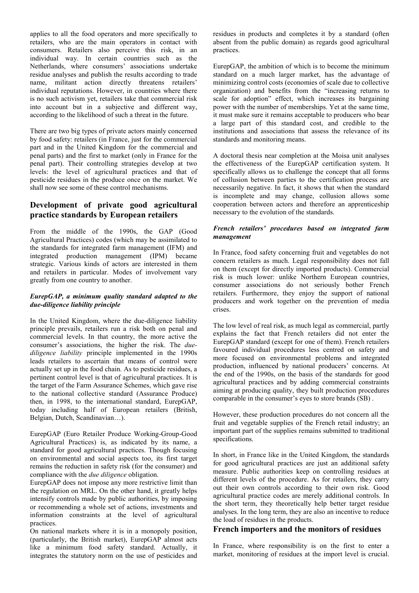applies to all the food operators and more specifically to retailers, who are the main operators in contact with consumers. Retailers also perceive this risk, in an individual way. In certain countries such as the Netherlands, where consumers' associations undertake residue analyses and publish the results according to trade name, militant action directly threatens retailers' individual reputations. However, in countries where there is no such activism yet, retailers take that commercial risk into account but in a subjective and different way, according to the likelihood of such a threat in the future.

There are two big types of private actors mainly concerned by food safety: retailers (in France, just for the commercial part and in the United Kingdom for the commercial and penal parts) and the first to market (only in France for the penal part). Their controlling strategies develop at two levels: the level of agricultural practices and that of pesticide residues in the produce once on the market. We shall now see some of these control mechanisms.

# Development of private good agricultural practice standards by European retailers

From the middle of the 1990s, the GAP (Good Agricultural Practices) codes (which may be assimilated to the standards for integrated farm management (IFM) and integrated production management (IPM) became strategic. Various kinds of actors are interested in them and retailers in particular. Modes of involvement vary greatly from one country to another.

#### EurepGAP, a minimum quality standard adapted to the due-diligence liability principle

In the United Kingdom, where the due-diligence liability principle prevails, retailers run a risk both on penal and commercial levels. In that country, the more active the consumer's associations, the higher the risk. The duediligence liability principle implemented in the 1990s leads retailers to ascertain that means of control were actually set up in the food chain. As to pesticide residues, a pertinent control level is that of agricultural practices. It is the target of the Farm Assurance Schemes, which gave rise to the national collective standard (Assurance Produce) then, in 1998, to the international standard, EurepGAP, today including half of European retailers (British, Belgian, Dutch, Scandinavian…).

EurepGAP (Euro Retailer Produce Working-Group-Good Agricultural Practices) is, as indicated by its name, a standard for good agricultural practices. Though focusing on environmental and social aspects too, its first target remains the reduction in safety risk (for the consumer) and compliance with the due diligence obligation.

EurepGAP does not impose any more restrictive limit than the regulation on MRL. On the other hand, it greatly helps intensify controls made by public authorities, by imposing or recommending a whole set of actions, investments and information constraints at the level of agricultural practices.

On national markets where it is in a monopoly position, (particularly, the British market), EurepGAP almost acts like a minimum food safety standard. Actually, it integrates the statutory norm on the use of pesticides and residues in products and completes it by a standard (often absent from the public domain) as regards good agricultural practices.

EurepGAP, the ambition of which is to become the minimum standard on a much larger market, has the advantage of minimizing control costs (economies of scale due to collective organization) and benefits from the "increasing returns to scale for adoption" effect, which increases its bargaining power with the number of memberships. Yet at the same time, it must make sure it remains acceptable to producers who bear a large part of this standard cost, and credible to the institutions and associations that assess the relevance of its standards and monitoring means.

A doctoral thesis near completion at the Moisa unit analyses the effectiveness of the EurepGAP certification system. It specifically allows us to challenge the concept that all forms of collusion between parties to the certification process are necessarily negative. In fact, it shows that when the standard is incomplete and may change, collusion allows some cooperation between actors and therefore an apprenticeship necessary to the evolution of the standards.

#### French retailers' procedures based on integrated farm management

In France, food safety concerning fruit and vegetables do not concern retailers as much. Legal responsibility does not fall on them (except for directly imported products). Commercial risk is much lower: unlike Northern European countries, consumer associations do not seriously bother French retailers. Furthermore, they enjoy the support of national producers and work together on the prevention of media crises.

The low level of real risk, as much legal as commercial, partly explains the fact that French retailers did not enter the EurepGAP standard (except for one of them). French retailers favoured individual procedures less centred on safety and more focused on environmental problems and integrated production, influenced by national producers' concerns. At the end of the 1990s, on the basis of the standards for good agricultural practices and by adding commercial constraints aiming at producing quality, they built production procedures comparable in the consumer's eyes to store brands (SB) .

However, these production procedures do not concern all the fruit and vegetable supplies of the French retail industry; an important part of the supplies remains submitted to traditional specifications.

In short, in France like in the United Kingdom, the standards for good agricultural practices are just an additional safety measure. Public authorities keep on controlling residues at different levels of the procedure. As for retailers, they carry out their own controls according to their own risk. Good agricultural practice codes are merely additional controls. In the short term, they theoretically help better target residue analyses. In the long term, they are also an incentive to reduce the load of residues in the products.

## French importers and the monitors of residues

In France, where responsibility is on the first to enter a market, monitoring of residues at the import level is crucial.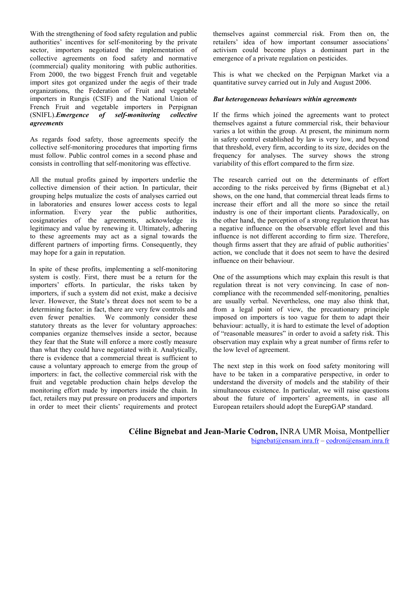With the strengthening of food safety regulation and public authorities' incentives for self-monitoring by the private sector, importers negotiated the implementation of collective agreements on food safety and normative (commercial) quality monitoring with public authorities. From 2000, the two biggest French fruit and vegetable import sites got organized under the aegis of their trade organizations, the Federation of Fruit and vegetable importers in Rungis (CSIF) and the National Union of French Fruit and vegetable importers in Perpignan (SNIFL).Emergence of self-monitoring collective agreements

As regards food safety, those agreements specify the collective self-monitoring procedures that importing firms must follow. Public control comes in a second phase and consists in controlling that self-monitoring was effective.

All the mutual profits gained by importers underlie the collective dimension of their action. In particular, their grouping helps mutualize the costs of analyses carried out in laboratories and ensures lower access costs to legal information. Every year the public authorities, cosignatories of the agreements, acknowledge its legitimacy and value by renewing it. Ultimately, adhering to these agreements may act as a signal towards the different partners of importing firms. Consequently, they may hope for a gain in reputation.

In spite of these profits, implementing a self-monitoring system is costly. First, there must be a return for the importers' efforts. In particular, the risks taken by importers, if such a system did not exist, make a decisive lever. However, the State's threat does not seem to be a determining factor: in fact, there are very few controls and even fewer penalties. We commonly consider these statutory threats as the lever for voluntary approaches: companies organize themselves inside a sector, because they fear that the State will enforce a more costly measure than what they could have negotiated with it. Analytically, there is evidence that a commercial threat is sufficient to cause a voluntary approach to emerge from the group of importers: in fact, the collective commercial risk with the fruit and vegetable production chain helps develop the monitoring effort made by importers inside the chain. In fact, retailers may put pressure on producers and importers in order to meet their clients' requirements and protect

themselves against commercial risk. From then on, the retailers' idea of how important consumer associations' activism could become plays a dominant part in the emergence of a private regulation on pesticides.

This is what we checked on the Perpignan Market via a quantitative survey carried out in July and August 2006.

#### But heterogeneous behaviours within agreements

If the firms which joined the agreements want to protect themselves against a future commercial risk, their behaviour varies a lot within the group. At present, the minimum norm in safety control established by law is very low, and beyond that threshold, every firm, according to its size, decides on the frequency for analyses. The survey shows the strong variability of this effort compared to the firm size.

The research carried out on the determinants of effort according to the risks perceived by firms (Bignebat et al.) shows, on the one hand, that commercial threat leads firms to increase their effort and all the more so since the retail industry is one of their important clients. Paradoxically, on the other hand, the perception of a strong regulation threat has a negative influence on the observable effort level and this influence is not different according to firm size. Therefore, though firms assert that they are afraid of public authorities' action, we conclude that it does not seem to have the desired influence on their behaviour.

One of the assumptions which may explain this result is that regulation threat is not very convincing. In case of noncompliance with the recommended self-monitoring, penalties are usually verbal. Nevertheless, one may also think that, from a legal point of view, the precautionary principle imposed on importers is too vague for them to adapt their behaviour: actually, it is hard to estimate the level of adoption of "reasonable measures" in order to avoid a safety risk. This observation may explain why a great number of firms refer to the low level of agreement.

The next step in this work on food safety monitoring will have to be taken in a comparative perspective, in order to understand the diversity of models and the stability of their simultaneous existence. In particular, we will raise questions about the future of importers' agreements, in case all European retailers should adopt the EurepGAP standard.

Céline Bignebat and Jean-Marie Codron, INRA UMR Moisa, Montpellier bignebat@ensam.inra.fr – codron@ensam.inra.fr